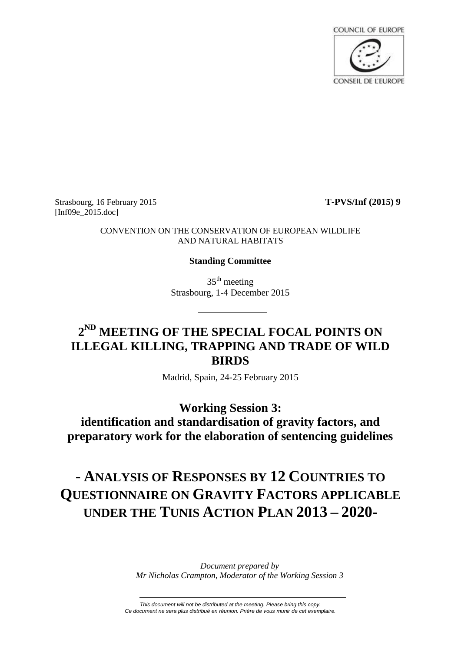

Strasbourg, 16 February 2015 **T-PVS/Inf (2015) 9** [Inf09e\_2015.doc]

CONVENTION ON THE CONSERVATION OF EUROPEAN WILDLIFE AND NATURAL HABITATS

#### **Standing Committee**

 $35<sup>th</sup>$  meeting Strasbourg, 1-4 December 2015

## **2 ND MEETING OF THE SPECIAL FOCAL POINTS ON ILLEGAL KILLING, TRAPPING AND TRADE OF WILD BIRDS**

Madrid, Spain, 24-25 February 2015

**Working Session 3: identification and standardisation of gravity factors, and preparatory work for the elaboration of sentencing guidelines**

# **- ANALYSIS OF RESPONSES BY 12 COUNTRIES TO QUESTIONNAIRE ON GRAVITY FACTORS APPLICABLE UNDER THE TUNIS ACTION PLAN 2013 – 2020-**

*Document prepared by Mr Nicholas Crampton, Moderator of the Working Session 3*

*This document will not be distributed at the meeting. Please bring this copy. Ce document ne sera plus distribué en réunion. Prière de vous munir de cet exemplaire.*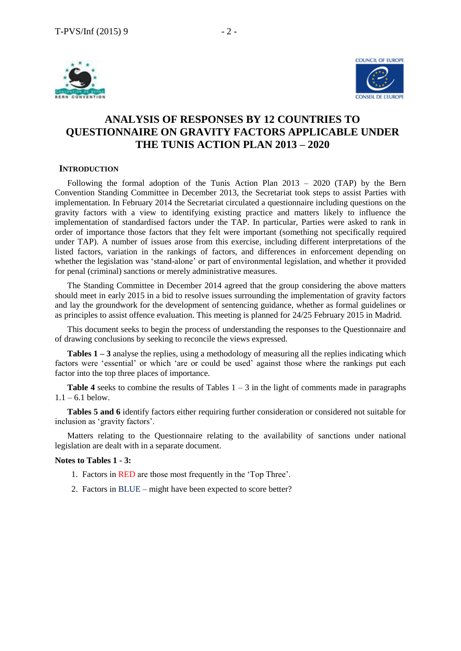

## **ANALYSIS OF RESPONSES BY 12 COUNTRIES TO QUESTIONNAIRE ON GRAVITY FACTORS APPLICABLE UNDER THE TUNIS ACTION PLAN 2013 – 2020**

#### **INTRODUCTION**

Following the formal adoption of the Tunis Action Plan 2013 – 2020 (TAP) by the Bern Convention Standing Committee in December 2013, the Secretariat took steps to assist Parties with implementation. In February 2014 the Secretariat circulated a questionnaire including questions on the gravity factors with a view to identifying existing practice and matters likely to influence the implementation of standardised factors under the TAP. In particular, Parties were asked to rank in order of importance those factors that they felt were important (something not specifically required under TAP). A number of issues arose from this exercise, including different interpretations of the listed factors, variation in the rankings of factors, and differences in enforcement depending on whether the legislation was 'stand-alone' or part of environmental legislation, and whether it provided for penal (criminal) sanctions or merely administrative measures.

The Standing Committee in December 2014 agreed that the group considering the above matters should meet in early 2015 in a bid to resolve issues surrounding the implementation of gravity factors and lay the groundwork for the development of sentencing guidance, whether as formal guidelines or as principles to assist offence evaluation. This meeting is planned for 24/25 February 2015 in Madrid.

This document seeks to begin the process of understanding the responses to the Questionnaire and of drawing conclusions by seeking to reconcile the views expressed.

**Tables 1 – 3** analyse the replies, using a methodology of measuring all the replies indicating which factors were 'essential' or which 'are or could be used' against those where the rankings put each factor into the top three places of importance.

**Table 4** seeks to combine the results of Tables  $1 - 3$  in the light of comments made in paragraphs  $1.1 - 6.1$  below.

**Tables 5 and 6** identify factors either requiring further consideration or considered not suitable for inclusion as 'gravity factors'.

Matters relating to the Questionnaire relating to the availability of sanctions under national legislation are dealt with in a separate document.

#### **Notes to Tables 1 - 3:**

- 1. Factors in RED are those most frequently in the 'Top Three'.
- 2. Factors in BLUE might have been expected to score better?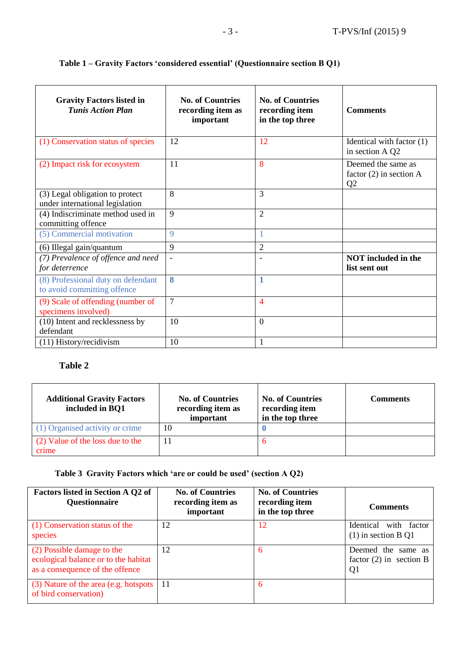| <b>Gravity Factors listed in</b><br><b>Tunis Action Plan</b>       | <b>No. of Countries</b><br>recording item as<br>important | <b>No. of Countries</b><br>recording item<br>in the top three | <b>Comments</b>                                                   |
|--------------------------------------------------------------------|-----------------------------------------------------------|---------------------------------------------------------------|-------------------------------------------------------------------|
| (1) Conservation status of species                                 | 12                                                        | 12                                                            | Identical with factor (1)<br>in section A Q2                      |
| (2) Impact risk for ecosystem                                      | 11                                                        | 8                                                             | Deemed the same as<br>factor $(2)$ in section A<br>Q <sub>2</sub> |
| (3) Legal obligation to protect<br>under international legislation | 8                                                         | 3                                                             |                                                                   |
| (4) Indiscriminate method used in<br>committing offence            | 9                                                         | $\overline{2}$                                                |                                                                   |
| (5) Commercial motivation                                          | 9                                                         |                                                               |                                                                   |
| (6) Illegal gain/quantum                                           | 9                                                         | $\overline{2}$                                                |                                                                   |
| (7) Prevalence of offence and need<br>for deterrence               | $\overline{\phantom{a}}$                                  |                                                               | <b>NOT</b> included in the<br>list sent out                       |
| (8) Professional duty on defendant<br>to avoid committing offence  | 8                                                         | 1                                                             |                                                                   |
| (9) Scale of offending (number of<br>specimens involved)           | $\overline{7}$                                            | $\overline{4}$                                                |                                                                   |
| (10) Intent and recklessness by<br>defendant                       | 10                                                        | $\Omega$                                                      |                                                                   |
| $(11)$ History/recidivism                                          | 10                                                        | 1                                                             |                                                                   |

### **Table 1 – Gravity Factors 'considered essential' (Questionnaire section B Q1)**

## **Table 2**

| <b>Additional Gravity Factors</b><br>included in BQ1 | <b>No. of Countries</b><br>recording item as<br>important | <b>No. of Countries</b><br>recording item<br>in the top three | <b>Comments</b> |
|------------------------------------------------------|-----------------------------------------------------------|---------------------------------------------------------------|-----------------|
| (1) Organised activity or crime                      | 10                                                        |                                                               |                 |
| (2) Value of the loss due to the<br>crime            |                                                           |                                                               |                 |

## **Table 3 Gravity Factors which 'are or could be used' (section A Q2)**

| <b>Factors listed in Section A Q2 of</b><br><b>Questionnaire</b>                                      | <b>No. of Countries</b><br>recording item as<br>important | <b>No. of Countries</b><br>recording item<br>in the top three | <b>Comments</b>                                                   |
|-------------------------------------------------------------------------------------------------------|-----------------------------------------------------------|---------------------------------------------------------------|-------------------------------------------------------------------|
| (1) Conservation status of the<br>species                                                             | 12                                                        | 12                                                            | Identical<br>with factor<br>$(1)$ in section B Q1                 |
| (2) Possible damage to the<br>ecological balance or to the habitat<br>as a consequence of the offence | 12                                                        | 6                                                             | Deemed the same as<br>factor $(2)$ in section B<br>Q <sub>1</sub> |
| (3) Nature of the area (e.g. hotspots<br>of bird conservation)                                        | 11                                                        | 6                                                             |                                                                   |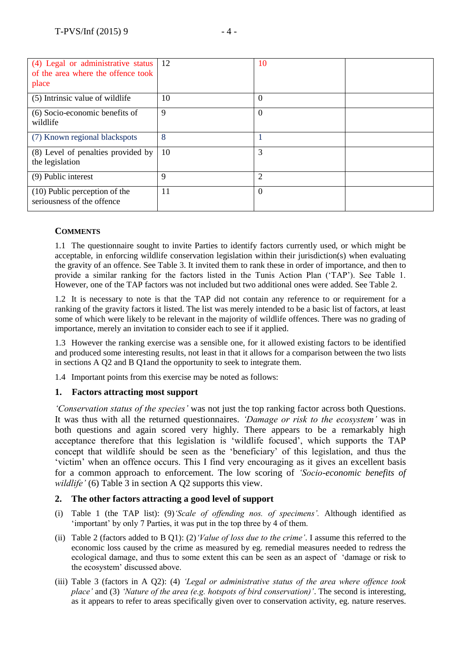| (4) Legal or administrative status<br>of the area where the offence took<br>place | 12 | 10             |  |
|-----------------------------------------------------------------------------------|----|----------------|--|
| (5) Intrinsic value of wildlife                                                   | 10 | $\Omega$       |  |
| (6) Socio-economic benefits of<br>wildlife                                        | 9  | $\theta$       |  |
| (7) Known regional blackspots                                                     | 8  |                |  |
| (8) Level of penalties provided by<br>the legislation                             | 10 | 3              |  |
| (9) Public interest                                                               | 9  | $\overline{2}$ |  |
| (10) Public perception of the<br>seriousness of the offence                       | 11 | $\theta$       |  |

#### **COMMENTS**

1.1 The questionnaire sought to invite Parties to identify factors currently used, or which might be acceptable, in enforcing wildlife conservation legislation within their jurisdiction(s) when evaluating the gravity of an offence. See Table 3. It invited them to rank these in order of importance, and then to provide a similar ranking for the factors listed in the Tunis Action Plan ('TAP'). See Table 1. However, one of the TAP factors was not included but two additional ones were added. See Table 2.

1.2 It is necessary to note is that the TAP did not contain any reference to or requirement for a ranking of the gravity factors it listed. The list was merely intended to be a basic list of factors, at least some of which were likely to be relevant in the majority of wildlife offences. There was no grading of importance, merely an invitation to consider each to see if it applied.

1.3 However the ranking exercise was a sensible one, for it allowed existing factors to be identified and produced some interesting results, not least in that it allows for a comparison between the two lists in sections A Q2 and B Q1and the opportunity to seek to integrate them.

1.4 Important points from this exercise may be noted as follows:

#### **1. Factors attracting most support**

*'Conservation status of the species'* was not just the top ranking factor across both Questions. It was thus with all the returned questionnaires. *'Damage or risk to the ecosystem'* was in both questions and again scored very highly. There appears to be a remarkably high acceptance therefore that this legislation is 'wildlife focused', which supports the TAP concept that wildlife should be seen as the 'beneficiary' of this legislation, and thus the 'victim' when an offence occurs. This I find very encouraging as it gives an excellent basis for a common approach to enforcement. The low scoring of *'Socio-economic benefits of wildlife'* (6) Table 3 in section A Q2 supports this view.

#### **2. The other factors attracting a good level of support**

- (i) Table 1 (the TAP list): (9)*'Scale of offending nos. of specimens'.* Although identified as 'important' by only 7 Parties, it was put in the top three by 4 of them.
- (ii) Table 2 (factors added to B Q1): (2)*'Value of loss due to the crime'*. I assume this referred to the economic loss caused by the crime as measured by eg. remedial measures needed to redress the ecological damage, and thus to some extent this can be seen as an aspect of 'damage or risk to the ecosystem' discussed above.
- (iii) Table 3 (factors in A Q2): (4) *'Legal or administrative status of the area where offence took place'* and (3) *'Nature of the area (e.g. hotspots of bird conservation)'*. The second is interesting, as it appears to refer to areas specifically given over to conservation activity, eg. nature reserves.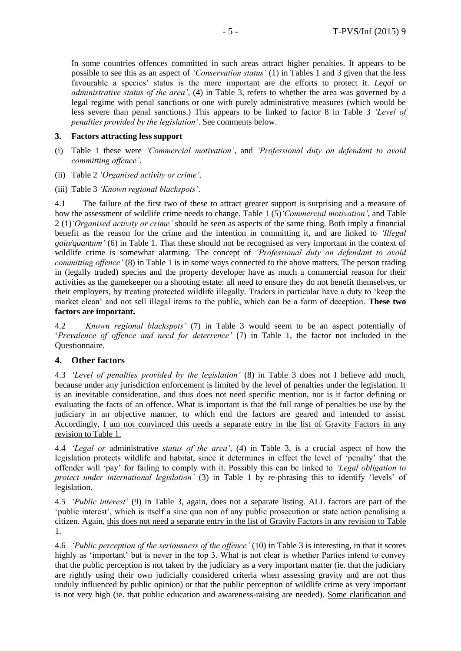In some countries offences committed in such areas attract higher penalties. It appears to be possible to see this as an aspect of *'Conservation status'* (1) in Tables 1 and 3 given that the less favourable a species' status is the more important are the efforts to protect it. *Legal or administrative status of the area'*, (4) in Table 3, refers to whether the area was governed by a legal regime with penal sanctions or one with purely administrative measures (which would be less severe than penal sanctions.) This appears to be linked to factor 8 in Table 3 *'Level of penalties provided by the legislation'*. See comments below.

#### **3. Factors attracting less support**

- (i) Table 1 these were *'Commercial motivation'*, and *'Professional duty on defendant to avoid committing offence'*.
- (ii) Table 2 *'Organised activity or crime'*.
- (iii) Table 3 *'Known regional blackspots'*.

4.1 The failure of the first two of these to attract greater support is surprising and a measure of how the assessment of wildlife crime needs to change. Table 1 (5)*'Commercial motivation'*, and Table 2 (1)*'Organised activity or crime'* should be seen as aspects of the same thing. Both imply a financial benefit as the reason for the crime and the intention in committing it, and are linked to *'Illegal gain/quantum'* (6) in Table 1. That these should not be recognised as very important in the context of wildlife crime is somewhat alarming. The concept of *'Professional duty on defendant to avoid committing offence'* (8) in Table 1 is in some ways connected to the above matters. The person trading in (legally traded) species and the property developer have as much a commercial reason for their activities as the gamekeeper on a shooting estate: all need to ensure they do not benefit themselves, or their employers, by treating protected wildlife illegally. Traders in particular have a duty to 'keep the market clean' and not sell illegal items to the public, which can be a form of deception. **These two factors are important.**

4.2 *'Known regional blackspots'* (7) in Table 3 would seem to be an aspect potentially of '*Prevalence of offence and need for deterrence'* (7) in Table 1, the factor not included in the Questionnaire.

#### **4. Other factors**

4.3 *'Level of penalties provided by the legislation'* (8) in Table 3 does not I believe add much, because under any jurisdiction enforcement is limited by the level of penalties under the legislation. It is an inevitable consideration, and thus does not need specific mention, nor is it factor defining or evaluating the facts of an offence. What is important is that the full range of penalties be use by the judiciary in an objective manner, to which end the factors are geared and intended to assist. Accordingly, I am not convinced this needs a separate entry in the list of Gravity Factors in any revision to Table 1.

4.4 *'Legal or* administrative *status of the area'*, (4) in Table 3, is a crucial aspect of how the legislation protects wildlife and habitat, since it determines in effect the level of 'penalty' that the offender will 'pay' for failing to comply with it. Possibly this can be linked to *'Legal obligation to protect under international legislation'* (3) in Table 1 by re-phrasing this to identify 'levels' of legislation.

4.5 *'Public interest'* (9) in Table 3, again, does not a separate listing. ALL factors are part of the 'public interest', which is itself a sine qua non of any public prosecution or state action penalising a citizen. Again, this does not need a separate entry in the list of Gravity Factors in any revision to Table 1.

4.6 *'Public perception of the seriousness of the offence'* (10) in Table 3 is interesting, in that it scores highly as 'important' but is never in the top 3. What is not clear is whether Parties intend to convey that the public perception is not taken by the judiciary as a very important matter (ie. that the judiciary are rightly using their own judicially considered criteria when assessing gravity and are not thus unduly influenced by public opinion) or that the public perception of wildlife crime as very important is not very high (ie. that public education and awareness-raising are needed). Some clarification and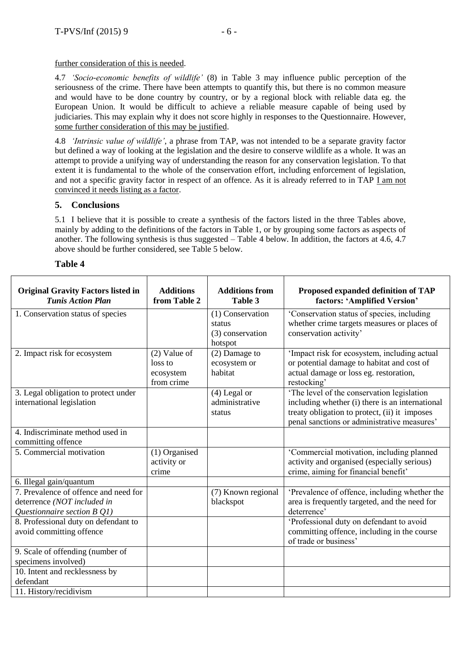further consideration of this is needed.

4.7 *'Socio-economic benefits of wildlife'* (8) in Table 3 may influence public perception of the seriousness of the crime. There have been attempts to quantify this, but there is no common measure and would have to be done country by country, or by a regional block with reliable data eg. the European Union. It would be difficult to achieve a reliable measure capable of being used by judiciaries. This may explain why it does not score highly in responses to the Questionnaire. However, some further consideration of this may be justified.

4.8 *'Intrinsic value of wildlife'*, a phrase from TAP, was not intended to be a separate gravity factor but defined a way of looking at the legislation and the desire to conserve wildlife as a whole. It was an attempt to provide a unifying way of understanding the reason for any conservation legislation. To that extent it is fundamental to the whole of the conservation effort, including enforcement of legislation, and not a specific gravity factor in respect of an offence. As it is already referred to in TAP I am not convinced it needs listing as a factor.

#### **5. Conclusions**

5.1 I believe that it is possible to create a synthesis of the factors listed in the three Tables above, mainly by adding to the definitions of the factors in Table 1, or by grouping some factors as aspects of another. The following synthesis is thus suggested – Table 4 below. In addition, the factors at 4.6, 4.7 above should be further considered, see Table 5 below.

#### **Table 4**

| <b>Original Gravity Factors listed in</b><br><b>Tunis Action Plan</b>                               | <b>Additions</b><br>from Table 2                     | <b>Additions from</b><br>Table 3                          | Proposed expanded definition of TAP<br>factors: 'Amplified Version'                                                                                                                           |
|-----------------------------------------------------------------------------------------------------|------------------------------------------------------|-----------------------------------------------------------|-----------------------------------------------------------------------------------------------------------------------------------------------------------------------------------------------|
| 1. Conservation status of species                                                                   |                                                      | (1) Conservation<br>status<br>(3) conservation<br>hotspot | 'Conservation status of species, including<br>whether crime targets measures or places of<br>conservation activity'                                                                           |
| 2. Impact risk for ecosystem                                                                        | $(2)$ Value of<br>loss to<br>ecosystem<br>from crime | (2) Damage to<br>ecosystem or<br>habitat                  | 'Impact risk for ecosystem, including actual<br>or potential damage to habitat and cost of<br>actual damage or loss eg. restoration,<br>restocking'                                           |
| 3. Legal obligation to protect under<br>international legislation                                   |                                                      | $(4)$ Legal or<br>administrative<br>status                | 'The level of the conservation legislation<br>including whether (i) there is an international<br>treaty obligation to protect, (ii) it imposes<br>penal sanctions or administrative measures' |
| 4. Indiscriminate method used in<br>committing offence                                              |                                                      |                                                           |                                                                                                                                                                                               |
| 5. Commercial motivation                                                                            | (1) Organised<br>activity or<br>crime                |                                                           | 'Commercial motivation, including planned<br>activity and organised (especially serious)<br>crime, aiming for financial benefit'                                                              |
| 6. Illegal gain/quantum                                                                             |                                                      |                                                           |                                                                                                                                                                                               |
| 7. Prevalence of offence and need for<br>deterrence (NOT included in<br>Questionnaire section B Q1) |                                                      | (7) Known regional<br>blackspot                           | 'Prevalence of offence, including whether the<br>area is frequently targeted, and the need for<br>deterrence'                                                                                 |
| 8. Professional duty on defendant to<br>avoid committing offence                                    |                                                      |                                                           | 'Professional duty on defendant to avoid<br>committing offence, including in the course<br>of trade or business'                                                                              |
| 9. Scale of offending (number of<br>specimens involved)                                             |                                                      |                                                           |                                                                                                                                                                                               |
| 10. Intent and recklessness by<br>defendant                                                         |                                                      |                                                           |                                                                                                                                                                                               |
| 11. History/recidivism                                                                              |                                                      |                                                           |                                                                                                                                                                                               |